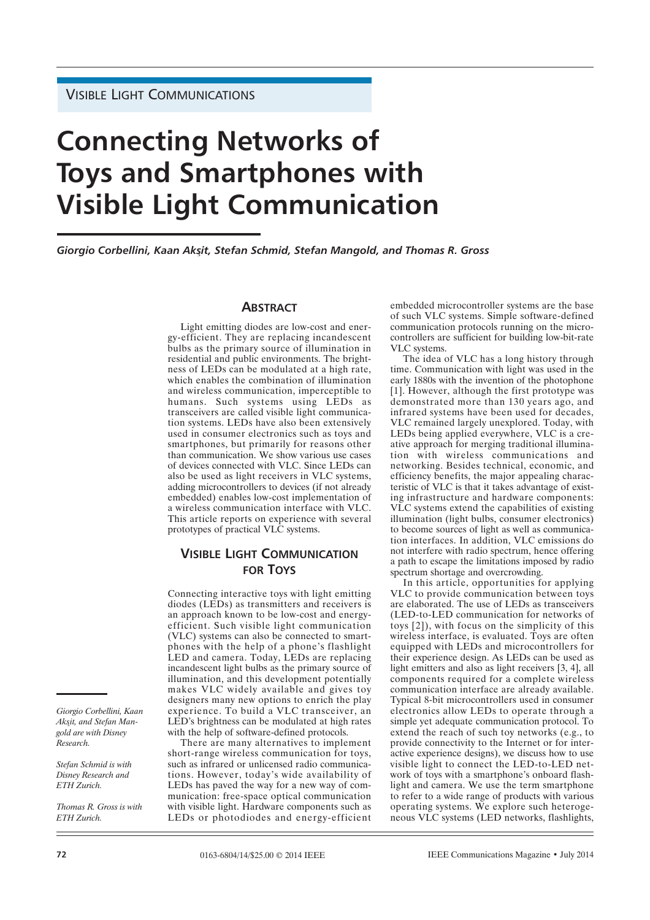# **Connecting Networks of Toys and Smartphones with Visible Light Communication**

Giorgio Corbellini, Kaan Aksit, Stefan Schmid, Stefan Mangold, and Thomas R. Gross

## **ABSTRACT**

Light emitting diodes are low-cost and energy-efficient. They are replacing incandescent bulbs as the primary source of illumination in residential and public environments. The brightness of LEDs can be modulated at a high rate, which enables the combination of illumination and wireless communication, imperceptible to humans. Such systems using LEDs as transceivers are called visible light communication systems. LEDs have also been extensively used in consumer electronics such as toys and smartphones, but primarily for reasons other than communication. We show various use cases of devices connected with VLC. Since LEDs can also be used as light receivers in VLC systems, adding microcontrollers to devices (if not already embedded) enables low-cost implementation of a wireless communication interface with VLC. This article reports on experience with several prototypes of practical VLC systems.

# **VISIBLE LIGHT COMMUNICATION FOR TOYS**

Connecting interactive toys with light emitting diodes (LEDs) as transmitters and receivers is an approach known to be low-cost and energyefficient. Such visible light communication (VLC) systems can also be connected to smartphones with the help of a phone's flashlight LED and camera. Today, LEDs are replacing incandescent light bulbs as the primary source of illumination, and this development potentially makes VLC widely available and gives toy designers many new options to enrich the play experience. To build a VLC transceiver, an LED's brightness can be modulated at high rates with the help of software-defined protocols.

There are many alternatives to implement short-range wireless communication for toys, such as infrared or unlicensed radio communications. However, today's wide availability of LEDs has paved the way for a new way of communication: free-space optical communication with visible light. Hardware components such as LEDs or photodiodes and energy-efficient embedded microcontroller systems are the base of such VLC systems. Simple software-defined communication protocols running on the microcontrollers are sufficient for building low-bit-rate VLC systems.

The idea of VLC has a long history through time. Communication with light was used in the early 1880s with the invention of the photophone [1]. However, although the first prototype was demonstrated more than 130 years ago, and infrared systems have been used for decades, VLC remained largely unexplored. Today, with LEDs being applied everywhere, VLC is a creative approach for merging traditional illumination with wireless communications and networking. Besides technical, economic, and efficiency benefits, the major appealing characteristic of VLC is that it takes advantage of existing infrastructure and hardware components: VLC systems extend the capabilities of existing illumination (light bulbs, consumer electronics) to become sources of light as well as communication interfaces. In addition, VLC emissions do not interfere with radio spectrum, hence offering a path to escape the limitations imposed by radio spectrum shortage and overcrowding.

In this article, opportunities for applying VLC to provide communication between toys are elaborated. The use of LEDs as transceivers (LED-to-LED communication for networks of toys [2]), with focus on the simplicity of this wireless interface, is evaluated. Toys are often equipped with LEDs and microcontrollers for their experience design. As LEDs can be used as light emitters and also as light receivers [3, 4], all components required for a complete wireless communication interface are already available. Typical 8-bit microcontrollers used in consumer electronics allow LEDs to operate through a simple yet adequate communication protocol. To extend the reach of such toy networks (e.g., to provide connectivity to the Internet or for interactive experience designs), we discuss how to use visible light to connect the LED-to-LED network of toys with a smartphone's onboard flashlight and camera. We use the term smartphone to refer to a wide range of products with various operating systems. We explore such heterogeneous VLC systems (LED networks, flashlights,

*Giorgio Corbellini, Kaan* Aksit, and Stefan Man*gold are with Disney Research.*

*Stefan Schmid is with Disney Research and ETH Zurich.*

*Thomas R. Gross is with ETH Zurich.*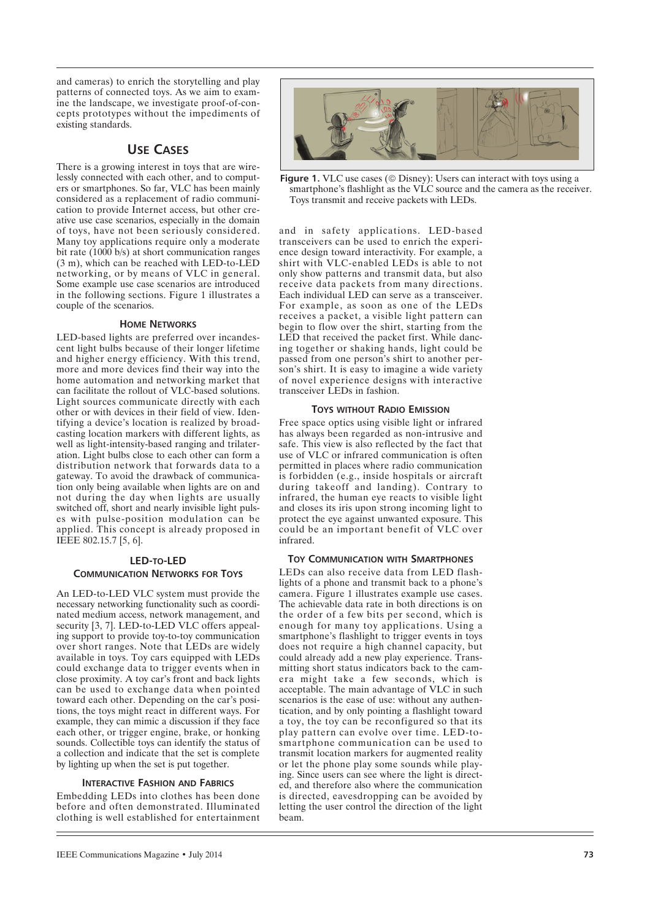and cameras) to enrich the storytelling and play patterns of connected toys. As we aim to examine the landscape, we investigate proof-of-concepts prototypes without the impediments of existing standards.

## **USE CASES**

There is a growing interest in toys that are wirelessly connected with each other, and to computers or smartphones. So far, VLC has been mainly considered as a replacement of radio communication to provide Internet access, but other creative use case scenarios, especially in the domain of toys, have not been seriously considered. Many toy applications require only a moderate bit rate (1000 b/s) at short communication ranges (3 m), which can be reached with LED-to-LED networking, or by means of VLC in general. Some example use case scenarios are introduced in the following sections. Figure 1 illustrates a couple of the scenarios.

#### **HOME NETWORKS**

LED-based lights are preferred over incandescent light bulbs because of their longer lifetime and higher energy efficiency. With this trend, more and more devices find their way into the home automation and networking market that can facilitate the rollout of VLC-based solutions. Light sources communicate directly with each other or with devices in their field of view. Identifying a device's location is realized by broadcasting location markers with different lights, as well as light-intensity-based ranging and trilateration. Light bulbs close to each other can form a distribution network that forwards data to a gateway. To avoid the drawback of communication only being available when lights are on and not during the day when lights are usually switched off, short and nearly invisible light pulses with pulse-position modulation can be applied. This concept is already proposed in IEEE 802.15.7 [5, 6].

## **LED-TO-LED COMMUNICATION NETWORKS FOR TOYS**

An LED-to-LED VLC system must provide the necessary networking functionality such as coordinated medium access, network management, and security [3, 7]. LED-to-LED VLC offers appealing support to provide toy-to-toy communication over short ranges. Note that LEDs are widely available in toys. Toy cars equipped with LEDs could exchange data to trigger events when in close proximity. A toy car's front and back lights can be used to exchange data when pointed toward each other. Depending on the car's positions, the toys might react in different ways. For example, they can mimic a discussion if they face each other, or trigger engine, brake, or honking sounds. Collectible toys can identify the status of a collection and indicate that the set is complete by lighting up when the set is put together.

#### **INTERACTIVE FASHION AND FABRICS**

Embedding LEDs into clothes has been done before and often demonstrated. Illuminated clothing is well established for entertainment



Fiqure 1. VLC use cases ( $©$  Disney): Users can interact with toys using a smartphone's flashlight as the VLC source and the camera as the receiver. Toys transmit and receive packets with LEDs.

and in safety applications. LED-based transceivers can be used to enrich the experience design toward interactivity. For example, a shirt with VLC-enabled LEDs is able to not only show patterns and transmit data, but also receive data packets from many directions. Each individual LED can serve as a transceiver. For example, as soon as one of the LEDs receives a packet, a visible light pattern can begin to flow over the shirt, starting from the LED that received the packet first. While dancing together or shaking hands, light could be passed from one person's shirt to another person's shirt. It is easy to imagine a wide variety of novel experience designs with interactive transceiver LEDs in fashion.

## **TOYS WITHOUT RADIO EMISSION**

Free space optics using visible light or infrared has always been regarded as non-intrusive and safe. This view is also reflected by the fact that use of VLC or infrared communication is often permitted in places where radio communication is forbidden (e.g., inside hospitals or aircraft during takeoff and landing). Contrary to infrared, the human eye reacts to visible light and closes its iris upon strong incoming light to protect the eye against unwanted exposure. This could be an important benefit of VLC over infrared.

## **TOY COMMUNICATION WITH SMARTPHONES**

LEDs can also receive data from LED flashlights of a phone and transmit back to a phone's camera. Figure 1 illustrates example use cases. The achievable data rate in both directions is on the order of a few bits per second, which is enough for many toy applications. Using a smartphone's flashlight to trigger events in toys does not require a high channel capacity, but could already add a new play experience. Transmitting short status indicators back to the camera might take a few seconds, which is acceptable. The main advantage of VLC in such scenarios is the ease of use: without any authentication, and by only pointing a flashlight toward a toy, the toy can be reconfigured so that its play pattern can evolve over time. LED-tosmartphone communication can be used to transmit location markers for augmented reality or let the phone play some sounds while playing. Since users can see where the light is directed, and therefore also where the communication is directed, eavesdropping can be avoided by letting the user control the direction of the light beam.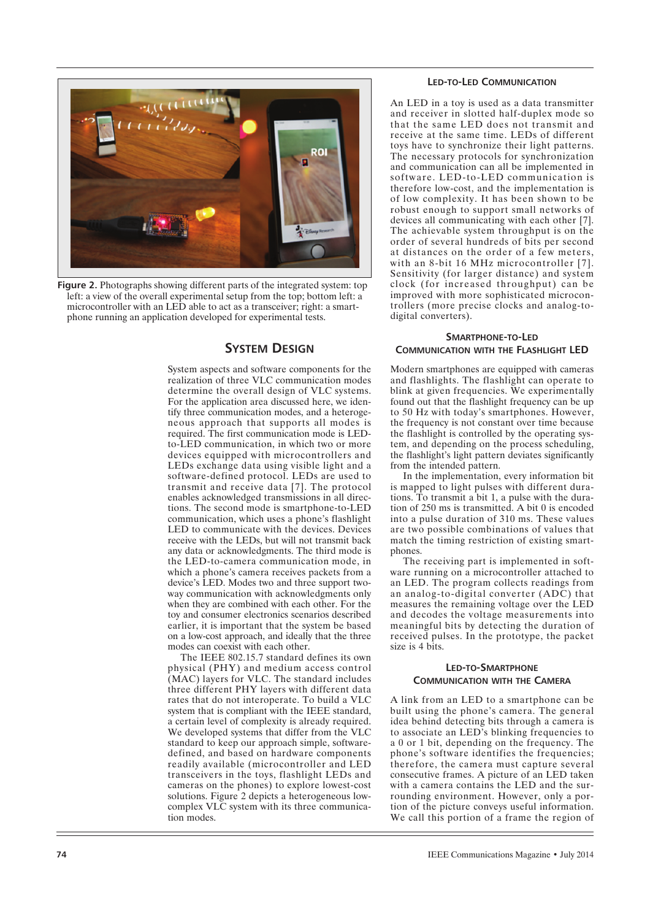

**Figure 2.** Photographs showing different parts of the integrated system: top left: a view of the overall experimental setup from the top; bottom left: a microcontroller with an LED able to act as a transceiver; right: a smartphone running an application developed for experimental tests.

## **SYSTEM DESIGN**

System aspects and software components for the realization of three VLC communication modes determine the overall design of VLC systems. For the application area discussed here, we identify three communication modes, and a heterogeneous approach that supports all modes is required. The first communication mode is LEDto-LED communication, in which two or more devices equipped with microcontrollers and LEDs exchange data using visible light and a software-defined protocol. LEDs are used to transmit and receive data [7]. The protocol enables acknowledged transmissions in all directions. The second mode is smartphone-to-LED communication, which uses a phone's flashlight LED to communicate with the devices. Devices receive with the LEDs, but will not transmit back any data or acknowledgments. The third mode is the LED-to-camera communication mode, in which a phone's camera receives packets from a device's LED. Modes two and three support twoway communication with acknowledgments only when they are combined with each other. For the toy and consumer electronics scenarios described earlier, it is important that the system be based on a low-cost approach, and ideally that the three modes can coexist with each other.

The IEEE 802.15.7 standard defines its own physical (PHY) and medium access control (MAC) layers for VLC. The standard includes three different PHY layers with different data rates that do not interoperate. To build a VLC system that is compliant with the IEEE standard, a certain level of complexity is already required. We developed systems that differ from the VLC standard to keep our approach simple, softwaredefined, and based on hardware components readily available (microcontroller and LED transceivers in the toys, flashlight LEDs and cameras on the phones) to explore lowest-cost solutions. Figure 2 depicts a heterogeneous lowcomplex VLC system with its three communication modes.

## **LED-TO-LED COMMUNICATION**

An LED in a toy is used as a data transmitter and receiver in slotted half-duplex mode so that the same LED does not transmit and receive at the same time. LEDs of different toys have to synchronize their light patterns. The necessary protocols for synchronization and communication can all be implemented in software. LED-to-LED communication is therefore low-cost, and the implementation is of low complexity. It has been shown to be robust enough to support small networks of devices all communicating with each other [7]. The achievable system throughput is on the order of several hundreds of bits per second at distances on the order of a few meters, with an 8-bit 16 MHz microcontroller [7]. Sensitivity (for larger distance) and system clock (for increased throughput) can be improved with more sophisticated microcontrollers (more precise clocks and analog-todigital converters).

## **SMARTPHONE-TO-LED COMMUNICATION WITH THE FLASHLIGHT LED**

Modern smartphones are equipped with cameras and flashlights. The flashlight can operate to blink at given frequencies. We experimentally found out that the flashlight frequency can be up to 50 Hz with today's smartphones. However, the frequency is not constant over time because the flashlight is controlled by the operating system, and depending on the process scheduling, the flashlight's light pattern deviates significantly from the intended pattern.

In the implementation, every information bit is mapped to light pulses with different durations. To transmit a bit 1, a pulse with the duration of 250 ms is transmitted. A bit 0 is encoded into a pulse duration of 310 ms. These values are two possible combinations of values that match the timing restriction of existing smartphones.

The receiving part is implemented in software running on a microcontroller attached to an LED. The program collects readings from an analog-to-digital converter (ADC) that measures the remaining voltage over the LED and decodes the voltage measurements into meaningful bits by detecting the duration of received pulses. In the prototype, the packet size is 4 bits.

## **LED-TO-SMARTPHONE COMMUNICATION WITH THE CAMERA**

A link from an LED to a smartphone can be built using the phone's camera. The general idea behind detecting bits through a camera is to associate an LED's blinking frequencies to a 0 or 1 bit, depending on the frequency. The phone's software identifies the frequencies; therefore, the camera must capture several consecutive frames. A picture of an LED taken with a camera contains the LED and the surrounding environment. However, only a portion of the picture conveys useful information. We call this portion of a frame the region of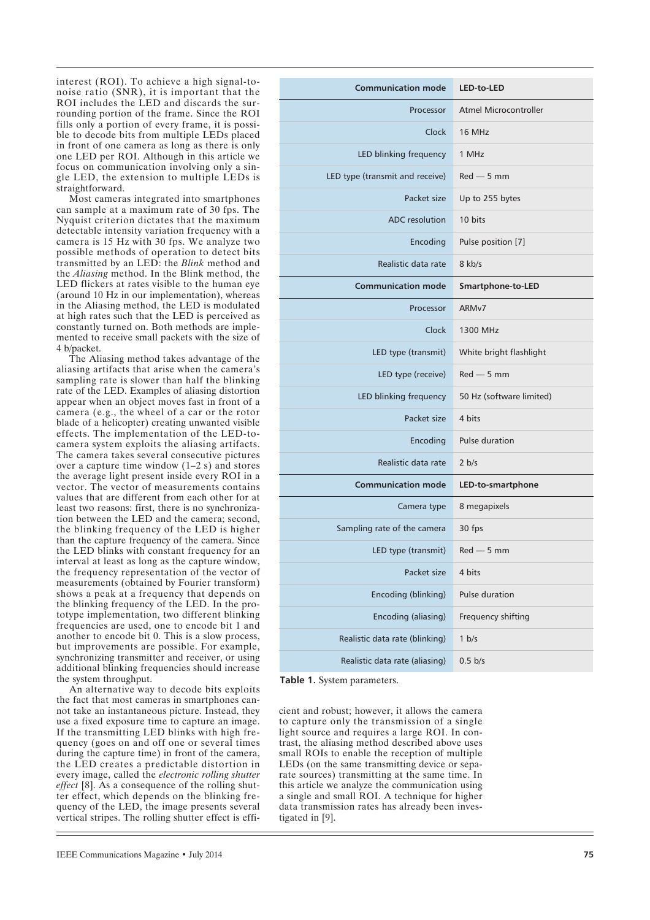interest (ROI). To achieve a high signal-tonoise ratio (SNR), it is important that the ROI includes the LED and discards the surrounding portion of the frame. Since the ROI fills only a portion of every frame, it is possible to decode bits from multiple LEDs placed in front of one camera as long as there is only one LED per ROI. Although in this article we focus on communication involving only a single LED, the extension to multiple LEDs is straightforward.

Most cameras integrated into smartphones can sample at a maximum rate of 30 fps. The Nyquist criterion dictates that the maximum detectable intensity variation frequency with a camera is 15 Hz with 30 fps. We analyze two possible methods of operation to detect bits transmitted by an LED: the *Blink* method and the *Aliasing* method. In the Blink method, the LED flickers at rates visible to the human eye (around 10 Hz in our implementation), whereas in the Aliasing method, the LED is modulated at high rates such that the LED is perceived as constantly turned on. Both methods are implemented to receive small packets with the size of 4 b/packet.

The Aliasing method takes advantage of the aliasing artifacts that arise when the camera's sampling rate is slower than half the blinking rate of the LED. Examples of aliasing distortion appear when an object moves fast in front of a camera (e.g., the wheel of a car or the rotor blade of a helicopter) creating unwanted visible effects. The implementation of the LED-tocamera system exploits the aliasing artifacts. The camera takes several consecutive pictures over a capture time window (1–2 s) and stores the average light present inside every ROI in a vector. The vector of measurements contains values that are different from each other for at least two reasons: first, there is no synchronization between the LED and the camera; second, the blinking frequency of the LED is higher than the capture frequency of the camera. Since the LED blinks with constant frequency for an interval at least as long as the capture window, the frequency representation of the vector of measurements (obtained by Fourier transform) shows a peak at a frequency that depends on the blinking frequency of the LED. In the prototype implementation, two different blinking frequencies are used, one to encode bit 1 and another to encode bit 0. This is a slow process, but improvements are possible. For example, synchronizing transmitter and receiver, or using additional blinking frequencies should increase the system throughput.

An alternative way to decode bits exploits the fact that most cameras in smartphones cannot take an instantaneous picture. Instead, they use a fixed exposure time to capture an image. If the transmitting LED blinks with high frequency (goes on and off one or several times during the capture time) in front of the camera, the LED creates a predictable distortion in every image, called the *electronic rolling shutter effect* [8]. As a consequence of the rolling shutter effect, which depends on the blinking frequency of the LED, the image presents several vertical stripes. The rolling shutter effect is effi-

| <b>Communication mode</b>       | <b>LED-to-LED</b>            |
|---------------------------------|------------------------------|
| Processor                       | <b>Atmel Microcontroller</b> |
| <b>Clock</b>                    | <b>16 MHz</b>                |
| LED blinking frequency          | 1 MHz                        |
| LED type (transmit and receive) | $Red - 5$ mm                 |
| Packet size                     | Up to 255 bytes              |
| <b>ADC</b> resolution           | 10 bits                      |
| Encoding                        | Pulse position [7]           |
| Realistic data rate             | 8 kb/s                       |
| <b>Communication mode</b>       | Smartphone-to-LED            |
| Processor                       | ARM <sub>v7</sub>            |
| Clock                           | 1300 MHz                     |
| LED type (transmit)             | White bright flashlight      |
| LED type (receive)              | $Red - 5$ mm                 |
| LED blinking frequency          | 50 Hz (software limited)     |
| Packet size                     | 4 bits                       |
| Encoding                        | Pulse duration               |
| Realistic data rate             | 2 <sub>b/s</sub>             |
| <b>Communication mode</b>       | LED-to-smartphone            |
| Camera type                     | 8 megapixels                 |
| Sampling rate of the camera     | 30 fps                       |
| LED type (transmit)             | $Red - 5$ mm                 |
| Packet size                     | 4 bits                       |
| Encoding (blinking)             | <b>Pulse duration</b>        |
| Encoding (aliasing)             | Frequency shifting           |
| Realistic data rate (blinking)  | 1 b/s                        |
| Realistic data rate (aliasing)  | 0.5 b/s                      |

**Table 1.** System parameters.

cient and robust; however, it allows the camera to capture only the transmission of a single light source and requires a large ROI. In contrast, the aliasing method described above uses small ROIs to enable the reception of multiple LEDs (on the same transmitting device or separate sources) transmitting at the same time. In this article we analyze the communication using a single and small ROI. A technique for higher data transmission rates has already been investigated in [9].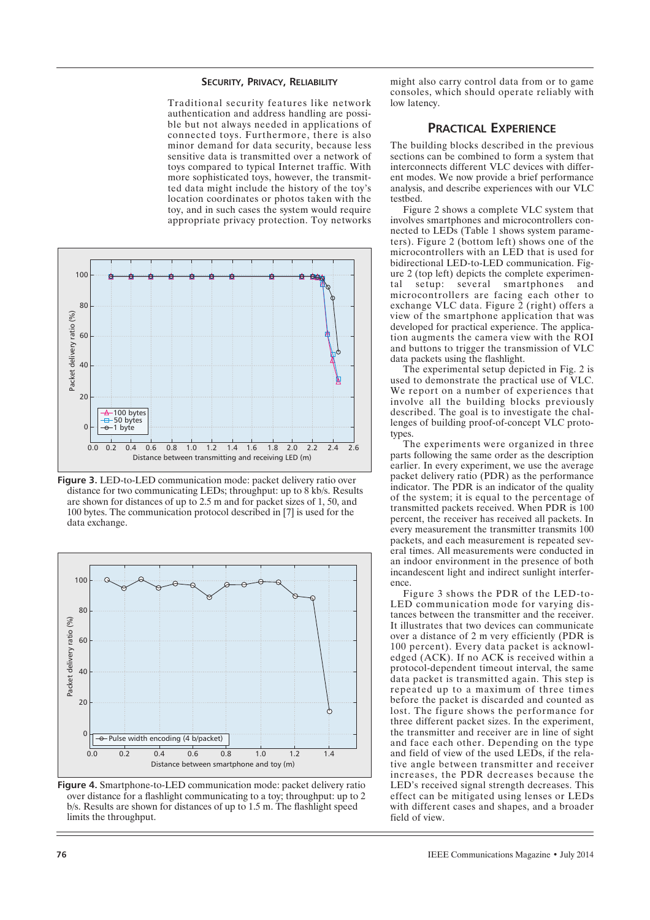#### **SECURITY, PRIVACY, RELIABILITY**

Traditional security features like network authentication and address handling are possible but not always needed in applications of connected toys. Furthermore, there is also minor demand for data security, because less sensitive data is transmitted over a network of toys compared to typical Internet traffic. With more sophisticated toys, however, the transmitted data might include the history of the toy's location coordinates or photos taken with the toy, and in such cases the system would require appropriate privacy protection. Toy networks



**Figure 3.** LED-to-LED communication mode: packet delivery ratio over distance for two communicating LEDs; throughput: up to 8 kb/s. Results are shown for distances of up to 2.5 m and for packet sizes of 1, 50, and 100 bytes. The communication protocol described in [7] is used for the data exchange.



**Figure 4.** Smartphone-to-LED communication mode: packet delivery ratio over distance for a flashlight communicating to a toy; throughput: up to 2 b/s. Results are shown for distances of up to 1.5 m. The flashlight speed limits the throughput.

might also carry control data from or to game consoles, which should operate reliably with low latency.

# **PRACTICAL EXPERIENCE**

The building blocks described in the previous sections can be combined to form a system that interconnects different VLC devices with different modes. We now provide a brief performance analysis, and describe experiences with our VLC testbed.

Figure 2 shows a complete VLC system that involves smartphones and microcontrollers connected to LEDs (Table 1 shows system parameters). Figure 2 (bottom left) shows one of the microcontrollers with an LED that is used for bidirectional LED-to-LED communication. Figure 2 (top left) depicts the complete experimental setup: several smartphones and microcontrollers are facing each other to exchange VLC data. Figure 2 (right) offers a view of the smartphone application that was developed for practical experience. The application augments the camera view with the ROI and buttons to trigger the transmission of VLC data packets using the flashlight.

The experimental setup depicted in Fig. 2 is used to demonstrate the practical use of VLC. We report on a number of experiences that involve all the building blocks previously described. The goal is to investigate the challenges of building proof-of-concept VLC prototypes.

The experiments were organized in three parts following the same order as the description earlier. In every experiment, we use the average packet delivery ratio (PDR) as the performance indicator. The PDR is an indicator of the quality of the system; it is equal to the percentage of transmitted packets received. When PDR is 100 percent, the receiver has received all packets. In every measurement the transmitter transmits 100 packets, and each measurement is repeated several times. All measurements were conducted in an indoor environment in the presence of both incandescent light and indirect sunlight interference.

Figure 3 shows the PDR of the LED-to-LED communication mode for varying distances between the transmitter and the receiver. It illustrates that two devices can communicate over a distance of 2 m very efficiently (PDR is 100 percent). Every data packet is acknowledged (ACK). If no ACK is received within a protocol-dependent timeout interval, the same data packet is transmitted again. This step is repeated up to a maximum of three times before the packet is discarded and counted as lost. The figure shows the performance for three different packet sizes. In the experiment, the transmitter and receiver are in line of sight and face each other. Depending on the type and field of view of the used LEDs, if the relative angle between transmitter and receiver increases, the PDR decreases because the LED's received signal strength decreases. This effect can be mitigated using lenses or LEDs with different cases and shapes, and a broader field of view.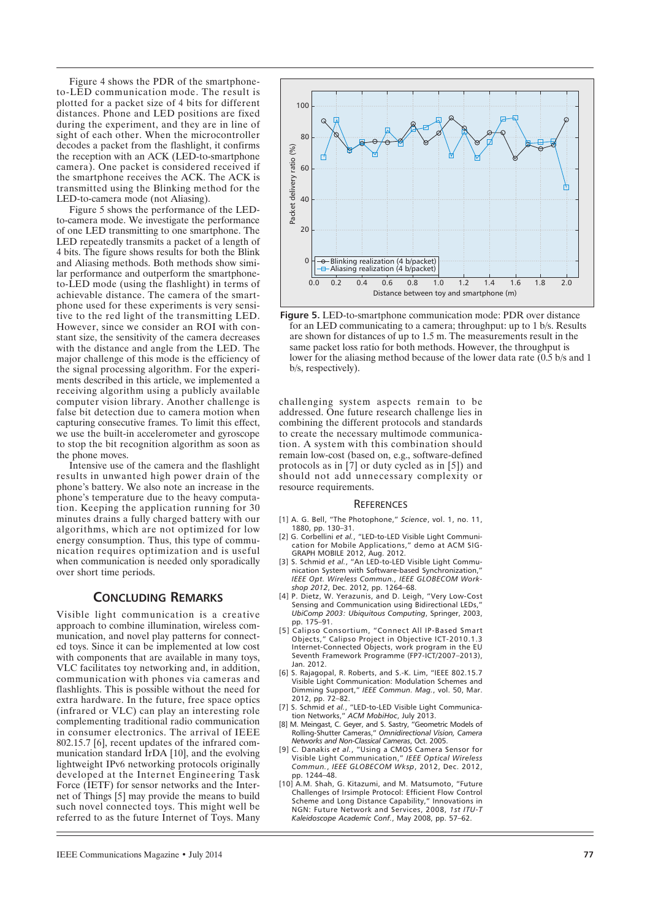Figure 4 shows the PDR of the smartphoneto-LED communication mode. The result is plotted for a packet size of 4 bits for different distances. Phone and LED positions are fixed during the experiment, and they are in line of sight of each other. When the microcontroller decodes a packet from the flashlight, it confirms the reception with an ACK (LED-to-smartphone camera). One packet is considered received if the smartphone receives the ACK. The ACK is transmitted using the Blinking method for the LED-to-camera mode (not Aliasing).

Figure 5 shows the performance of the LEDto-camera mode. We investigate the performance of one LED transmitting to one smartphone. The LED repeatedly transmits a packet of a length of 4 bits. The figure shows results for both the Blink and Aliasing methods. Both methods show similar performance and outperform the smartphoneto-LED mode (using the flashlight) in terms of achievable distance. The camera of the smartphone used for these experiments is very sensitive to the red light of the transmitting LED. However, since we consider an ROI with constant size, the sensitivity of the camera decreases with the distance and angle from the LED. The major challenge of this mode is the efficiency of the signal processing algorithm. For the experiments described in this article, we implemented a receiving algorithm using a publicly available computer vision library. Another challenge is false bit detection due to camera motion when capturing consecutive frames. To limit this effect, we use the built-in accelerometer and gyroscope to stop the bit recognition algorithm as soon as the phone moves.

Intensive use of the camera and the flashlight results in unwanted high power drain of the phone's battery. We also note an increase in the phone's temperature due to the heavy computation. Keeping the application running for 30 minutes drains a fully charged battery with our algorithms, which are not optimized for low energy consumption. Thus, this type of communication requires optimization and is useful when communication is needed only sporadically over short time periods.

## **CONCLUDING REMARKS**

Visible light communication is a creative approach to combine illumination, wireless communication, and novel play patterns for connected toys. Since it can be implemented at low cost with components that are available in many toys, VLC facilitates toy networking and, in addition, communication with phones via cameras and flashlights. This is possible without the need for extra hardware. In the future, free space optics (infrared or VLC) can play an interesting role complementing traditional radio communication in consumer electronics. The arrival of IEEE 802.15.7 [6], recent updates of the infrared communication standard IrDA [10], and the evolving lightweight IPv6 networking protocols originally developed at the Internet Engineering Task Force (IETF) for sensor networks and the Internet of Things [5] may provide the means to build such novel connected toys. This might well be referred to as the future Internet of Toys. Many



**Figure 5.** LED-to-smartphone communication mode: PDR over distance for an LED communicating to a camera; throughput: up to 1 b/s. Results are shown for distances of up to 1.5 m. The measurements result in the same packet loss ratio for both methods. However, the throughput is lower for the aliasing method because of the lower data rate (0.5 b/s and 1 b/s, respectively).

challenging system aspects remain to be addressed. One future research challenge lies in combining the different protocols and standards to create the necessary multimode communication. A system with this combination should remain low-cost (based on, e.g., software-defined protocols as in [7] or duty cycled as in [5]) and should not add unnecessary complexity or resource requirements.

#### **REFERENCES**

- [1] A. G. Bell, "The Photophone," *Science*, vol. 1, no. 11, 1880, pp. 130–31.
- [2] G. Corbellini *et al.*, "LED-to-LED Visible Light Communication for Mobile Applications," demo at ACM SIG-
- GRAPH MOBILE 2012, Aug. 2012. [3] S. Schmid *et al.*, "An LED-to-LED Visible Light Communication System with Software-based Synchronization," *IEEE Opt. Wireless Commun., IEEE GLOBECOM Workshop 2012*, Dec. 2012, pp. 1264–68.
- [4] P. Dietz, W. Yerazunis, and D. Leigh, "Very Low-Cost Sensing and Communication using Bidirectional LEDs," *UbiComp 2003: Ubiquitous Computing*, Springer, 2003, pp. 175–91.
- [5] Calipso Consortium, "Connect All IP-Based Smart Objects," Calipso Project in Objective ICT-2010.1.3 Internet-Connected Objects, work program in the EU Seventh Framework Programme (FP7-ICT/2007–2013), Jan. 2012.
- [6] S. Rajagopal, R. Roberts, and S.-K. Lim, "IEEE 802.15.7 Visible Light Communication: Modulation Schemes and Dimming Support," *IEEE Commun. Mag.*, vol. 50, Mar.
- 2012, pp. 72–82.<br>[7] S. Schmid *et al., "*LED-to-LED Visible Light Communica-<br>tion Networks,*" ACM MobiHoc,* July 2013.<br>[8] M. Meingast, C. Geyer, and S. Sastry, "Geometric Models of
- Rolling-Shutter Cameras," *Omnidirectional Vision, Camera Networks and Non-Classical Cameras*, Oct. 2005.
- [9] C. Danakis *et al.*, "Using a CMOS Camera Sensor for Visible Light Communication," *IEEE Optical Wireless Commun.*, *IEEE GLOBECOM Wksp*, 2012, Dec. 2012, pp. 1244–48.
- [10] A.M. Shah, G. Kitazumi, and M. Matsumoto, "Future Challenges of Irsimple Protocol: Efficient Flow Control Scheme and Long Distance Capability," Innovations in NGN: Future Network and Services, 2008, *1st ITU-T Kaleidoscope Academic Conf.*, May 2008, pp. 57–62.